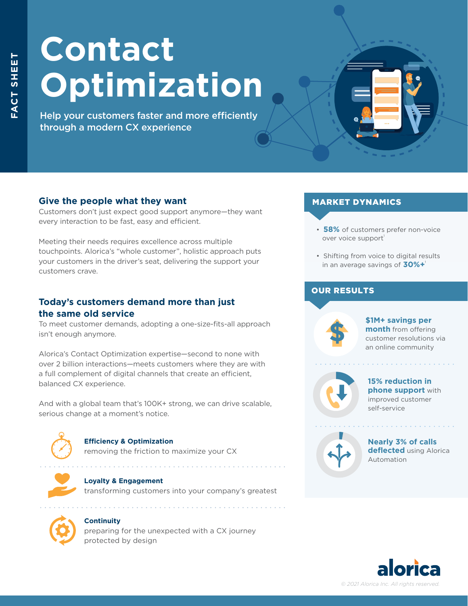# **Contact Optimization**

Help your customers faster and more efficiently through a modern CX experience

# **Give the people what they want**

Customers don't just expect good support anymore—they want every interaction to be fast, easy and efficient.

Meeting their needs requires excellence across multiple touchpoints. Alorica's "whole customer", holistic approach puts your customers in the driver's seat, delivering the support your customers crave.

## **Today's customers demand more than just the same old service**

To meet customer demands, adopting a one-size-fits-all approach isn't enough anymore.

Alorica's Contact Optimization expertise—second to none with over 2 billion interactions—meets customers where they are with a full complement of digital channels that create an efficient, balanced CX experience.

And with a global team that's 100K+ strong, we can drive scalable, serious change at a moment's notice.



## **Efficiency & Optimization**

removing the friction to maximize your CX

. . . . . . . . . . . . . . . . .





#### **Continuity**

preparing for the unexpected with a CX journey protected by design

#### MARKET DYNAMICS

- **58%** of customers prefer non-voice over voice support
- Shifting from voice to digital results in an average savings of **30%+**<sup>1</sup>

## OUR RESULTS



**\$1M+ savings per month** from offering customer resolutions via an online community



#### **15% reduction in phone support** with improved customer self-service

and a series of the contract of the



**Nearly 3% of calls deflected** using Alorica Automation

. . . . . . . . . . . . . .